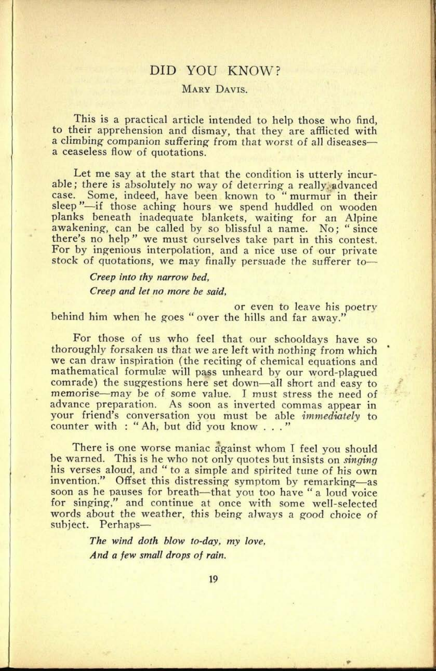## DID YOU KNOW?

## MARY DAVIS.

This is a practical article intended to help those who find, to their apprehension and dismay, that they are afflicted with a climbing companion suffering from that worst of all diseasesa ceaseless flow of quotations.

Let me say at the start that the condition is utterly incurable; there is absolutely no way of deterring a really advanced case. Some, indeed, have been known to " murmur in their sleep"—if those aching hours we spend huddled on wooden <sup>p</sup>lanks beneath inadequate blankets, waiting for an Alpine awakening, can be called by so blissful a name. No; "since there's no help" we must ourselves take part in this contest. For by ingenious interpolation, and a nice use of our private stock of quotations, we may finally persuade the sufferer to

> *Creep into thy narrow bed, Creep and let no more be said,*

**29. 0116**

or even to leave his poetry behind him when he goes " over the hills and far away."

For those of us who feel that our schooldays have so thoroughly forsaken us that we are left with nothing from which we can draw inspiration (the reciting of chemical equations and mathematical formulae will pass unheard by our word-plagued comrade) the suggestions here set down—all short and easy to memorise—may be of some value. I must stress the need of advance preparation. As soon as inverted commas appear in your friend's conversation you must be able *immediately* to counter with : " Ah, but did you know ..."

There is one worse maniac against whom I feel you should be warned. This is he who not only quotes but insists on *singing*  his verses aloud, and " to a simple and spirited tune of his own invention." Offset this distressing symptom by remarking-as soon as he pauses for breath—that you too have " a loud voice for singing," and continue at once with some well-selected words about the weather, this being always a good choice of subject. Perhaps-

> *The wind doth blow to-day, my love, And a few small drops of rain.*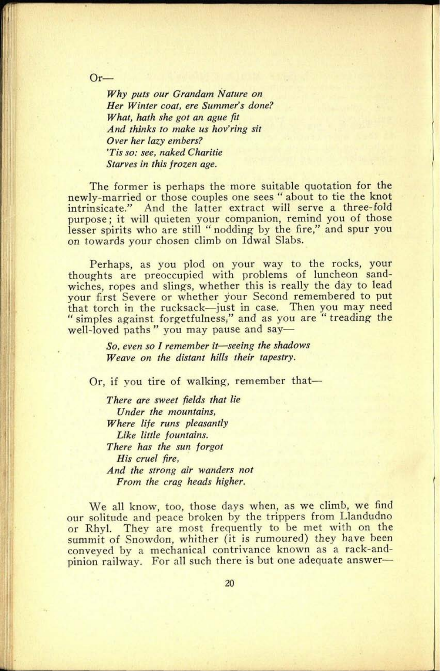**Or** 

*Why puts our Grandam Nature on Her Winter coat, ere Summer's done? What, hath she got an ague fit And thinks to make us hov'ring sit Over her lazy embers? 'Tis so: see, naked Charitie Starves in this frozen age.*

The former is perhaps the more suitable quotation for the newly-married or those couples one sees " about to tie the knot intrinsicate." And the latter extract will serve a three-fold purpose; it will quieten your companion, remind you of those lesser spirits who are still "nodding by the fire," and spur you on towards your chosen climb on Idwal Slabs.

Perhaps, as you plod on your way to the rocks, your thoughts are preoccupied with problems of luncheon sandwiches, ropes and slings, whether this is really the day to lead your first Severe or whether your Second remembered to pu<sup>t</sup> that torch in the rucksack-just in case. Then you may need " simples against forgetfulness," and as you are "treading the well-loved paths" you may pause and say—

> *So, even so I remember it seeing the shadows Weave on the distant hills their tapestry.*

Or, if you tire of walking, remember that

*There are sweet fields that lie Under the mountains, Where life runs pleasantly Like little fountains. There has the sun forgot His cruel fire, And the strong air wanders not From the crag heads higher.*

We all know, too, those days when, as we climb, we find our solitude and peace broken by the trippers from Llandudno or Rhyl. They are most frequently to be met with on the summit of Snowdon, whither (it is rumoured) they have been conveyed by a mechanical contrivance known as a rack-and<sup>p</sup>inion railway. For all such there is but one adequate answer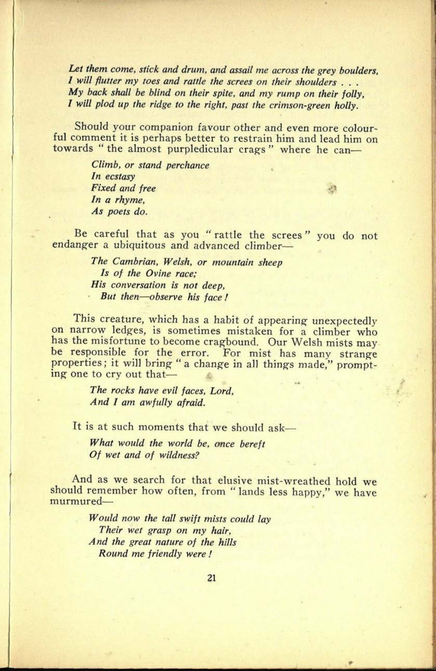*Let them come, stick and drum, and assail me across the grey boulders, <sup>1</sup>will flutter my toes and rattle the screes on {heir shoulders . . . My back shall be blind on their spite, and my rump on their folly, <sup>I</sup>will plod up the ridge to the right, past the crimson-green holly.*

Should your companion favour other and even more colourful comment it is perhaps better to restrain him and lead him on towards " the almost purpledicular crags " where he can

> *Climb, or stand perchance , In ecstasy*  $Fixed$  *and free In a rhyme, As poets do.*

Be careful that as you " rattle the screes" you do not endanger a ubiquitous and advanced climber

> *The Cambrian, Welsh, or mountain sheep Is of the Ovine race; His conversation is not deep, But then-observe his face!*

This creature, which has a habit of appearing unexpectedly on narrow ledges, is sometimes mistaken for a climber who has the misfortune to become cragbound. Our Welsh mists may be responsible for the error. For mist has many strange properties; it will bring " a change in all things made," prompting one to cry out that

> *The rocks have evil faces, Lord, And I am awfully afraid.*

It is at such moments that we should ask-

*What would the world be, once bereft Of wet and of wildness?*

And as we search for that elusive mist-wreathed hold we should remember how often, from " lands less happy," we have murmured

> *Would now the tall swift mists could lay Their wet grasp on my hair, And the great nature of the hills Round me friendly were !*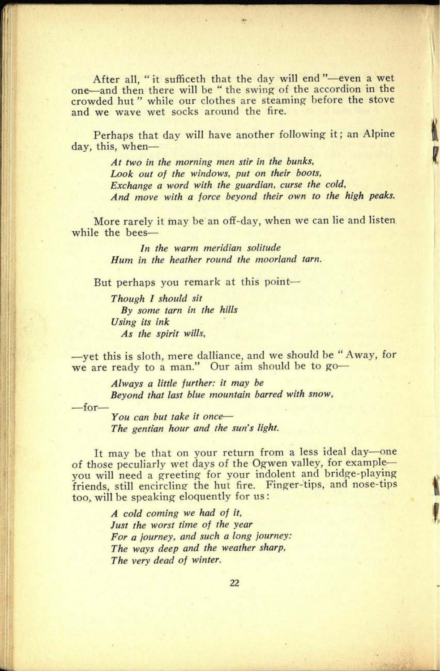After all, "it sufficeth that the day will end "-even a wet one and then there will be " the swing of the accordion in the crowded hut " while our clothes are steaming before the stove and we wave wet socks around the fire.

Perhaps that day will have another following it; an Alpine day, this, when

> *At two in the morning men stir in the bunks, Look out of the windows, put on their boots, Exchange a word with the guardian, curse the cold. And move with a force beyond their own to the high peaks.*

More rarely it may be an off-day, when we can lie and listen while the bees

> *In the warm meridian solitude Hum in the heather round the moorland tarn.*

But perhaps you remark at this point

*Though 1 should sit By some tarn in the hills Using its ink As the spirit wills,*

-yet this is sloth, mere dalliance, and we should be "Away, for we are ready to a man." Our aim should be to go

> *Always a little further: it may be Beyond that last blue mountain barred with snow,*

 $-$ for $-$ 

*You can but take it once The gentian hour and the sun's light.*

It may be that on your return from a less ideal day-one of those peculiarly wet days of the Ogwen valley, for example you will need a greeting for your indolent and bridge-playing friends, still encircling the hut fire. Finger-tips, and nose-tips too, will be speaking eloquently for us:

> *A cold coming we had of it, Just the worst time of the year For a journey, and such a long journey: The ways deep and the weather sharp, The very dead of winter.*